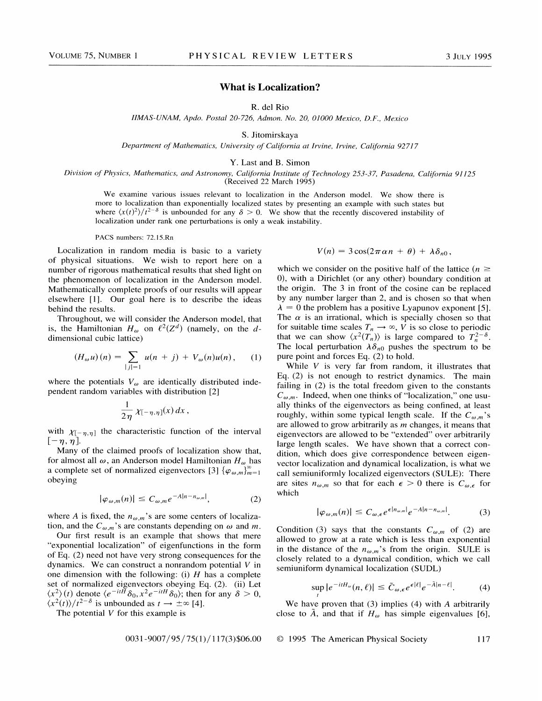## What is Localization?

R. del Rio

IIMAS-UNAM, Apdo. Postal 20-726, Admon. No. 20, 01000 Mexico, D.F., Mexico

S. Jitomirskaya

Department of Mathematics, University of California at Irvine, Irvine, California 927I7

Y. Last and B. Simon

Division of Physics, Mathematics, and Astronomy, California Institute of Technology 253-37, Pasadena, California 91125 (Received 22 March 1995)

We examine various issues relevant to localization in the Anderson model. We show there is more to localization than exponentially localized states by presenting an example with such states but where  $\langle x(t)^2 \rangle / t^{2-\delta}$  is unbounded for any  $\delta > 0$ . We show that the recently discovered instability of localization under rank one perturbations is only a weak instability.

PACS numbers: 72.15.Rn

Localization in random media is basic to a variety of physical situations. We wish to report here on a number of rigorous mathematical results that shed light on the phenomenon of localization in the Anderson model. Mathematically complete proofs of our results will appear elsewhere [1]. Our goal here is to describe the ideas behind the results.

Throughout, we will consider the Anderson model, that is, the Hamiltonian  $H_{\omega}$  on  $\ell^2(Z^d)$  (namely, on the ddimensional cubic lattice)

$$
(H_{\omega}u)(n) = \sum_{|j|=1} u(n+j) + V_{\omega}(n)u(n), \qquad (1)
$$

where the potentials  $V_{\omega}$  are identically distributed independent random variables with distribution [2]

$$
\frac{1}{2\eta}\chi_{[-\eta,\eta]}(x)\,dx\,,
$$

with  $\chi_{[-\eta,\eta]}$  the characteristic function of the interval  $[-\eta, \eta]$ .

Many of the claimed proofs of localization show that, for almost all  $\omega$ , an Anderson model Hamiltonian  $H_{\omega}$  has a complete set of normalized eigenvectors [3]  $\{\varphi_{\omega,m}\}_{m=1}^{\infty}$ obeying

$$
|\varphi_{\omega,m}(n)| \le C_{\omega,m} e^{-A|n-n_{\omega,m}|}, \qquad (2)
$$

where A is fixed, the  $n_{\omega,m}$ 's are some centers of localization, and the  $C_{\omega,m}$ 's are constants depending on  $\omega$  and m.

Our first result is an example that shows that mere "exponential localization' of eigenfunctions in the form of Eq. (2) need not have very strong consequences for the dynamics. We can construct a nonrandom potential  $V$  in one dimension with the following: (i)  $H$  has a complete set of normalized eigenvectors obeying Eq. (2). (ii) Let set of normalized eigenvectors obeying Eq. (2). (ii) Let  $\langle x^2 \rangle(t)$  denote  $\langle e^{-itH} \delta_0, x^2 e^{-itH} \delta_0 \rangle$ ; then for any  $\delta > 0$ ,  $\langle x^2(t) \rangle / t^{2-\delta}$  is unbounded as  $t \to \pm \infty$  [4].

The potential  $V$  for this example is

$$
0031 - 9007 / 95 / 75(1) / 117(3) \$06.00
$$

$$
V(n) = 3\cos(2\pi\alpha n + \theta) + \lambda\delta_{n0},
$$

which we consider on the positive half of the lattice ( $n \ge$ 0), with a Dirichlet (or any other) boundary condition at the origin. The 3 in front of the cosine can be replaced by any number larger than 2, and is chosen so that when  $\lambda = 0$  the problem has a positive Lyapunov exponent [5]. The  $\alpha$  is an irrational, which is specially chosen so that for suitable time scales  $T_n \to \infty$ , V is so close to periodic that we can show  $\langle x^2(T_n) \rangle$  is large compared to  $T_n^{2-\delta}$ . The local perturbation  $\lambda \delta_{n0}$  pushes the spectrum to be pure point and forces Eq. (2) to hold.

While  $V$  is very far from random, it illustrates that Eq. (2) is not enough to restrict dynamics. The main failing in (2) is the total freedom given to the constants  $C_{\omega,m}$ . Indeed, when one thinks of "localization," one usually thinks of the eigenvectors as being confined, at least ally thinks of the eigenvectors as being confined, at least oughly, within some typical length scale. If the  $C_{\omega,m}$ 's oughly, within some typical length scale. If the  $C_{\omega,m}$ 's are allowed to grow arbitrarily as m changes, it means that eigenvectors are allowed to be "extended" over arbitrarily large length scales. We have shown that a correct condition, which does give correspondence between eigenvector localization and dynamical localization, is what we call semiuniformly localized eigenvectors (SULE): There are sites  $n_{\omega,m}$  so that for each  $\epsilon > 0$  there is  $C_{\omega,\epsilon}$  for which

$$
|\varphi_{\omega,m}(n)| \leq C_{\omega,\epsilon} e^{\epsilon |n_{\omega,m}|} e^{-A|n-n_{\omega,m}|}.
$$
 (3)

Condition (3) says that the constants  $C_{\omega,m}$  of (2) are allowed to grow at a rate which is less than exponential in the distance of the  $n_{\omega,m}$ 's from the origin. SULE is closely related to a dynamical condition, which we call semiuniform dynamical localization (SUDL)

$$
\sup_{t} |e^{-itH_{\omega}}(n,\ell)| \le \tilde{C}_{\omega,\epsilon} e^{\epsilon|\ell|} e^{-\tilde{A}|n-\ell|}.\tag{4}
$$

We have proven that  $(3)$  implies  $(4)$  with A arbitrarily close to  $\tilde{A}$ , and that if  $H_{\omega}$  has simple eigenvalues [6],

s

 $0.795/75(1)/117(3)\$06.00$  © 1995 The American Physical Society 117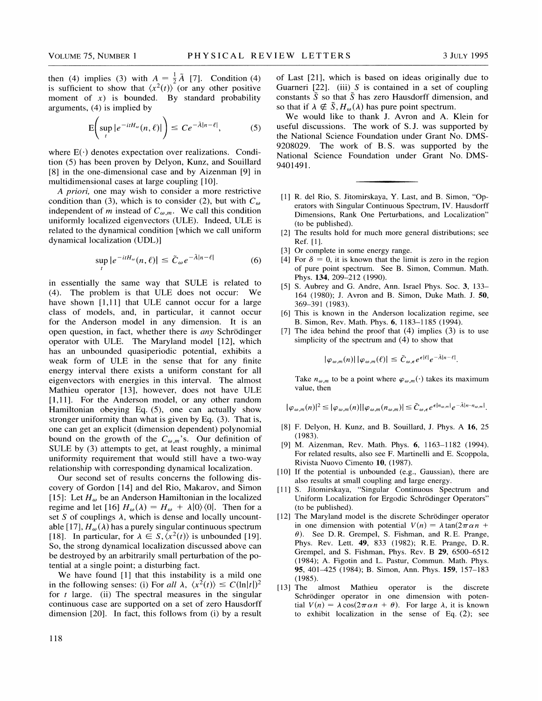then (4) implies (3) with  $A = \frac{1}{2}\tilde{A}$  [7]. Condition (4) is sufficient to show that  $\langle x^2(t) \rangle$  (or any other positive moment of  $x$ ) is bounded. By standard probability arguments, (4) is implied by

$$
E\left(\sup_{t}|e^{-itH_{\omega}}(n,\ell)|\right)\leq Ce^{-\tilde{A}|n-\ell|},\qquad(5)
$$

where  $E(\cdot)$  denotes expectation over realizations. Condition (5) has been proven by Delyon, Kunz, and Souillard [8] in the one-dimensional case and by Aizenman [9] in multidimensional cases at large coupling [10].

A priori, one may wish to consider a more restrictive condition than (3), which is to consider (2), but with  $C_{\omega}$ independent of m instead of  $C_{\omega,m}$ . We call this condition uniformly localized eigenvectors (ULE). Indeed, ULE is related to the dynamical condition [which we call uniform dynamical localization (UDL)]

$$
\sup_{t} |e^{-itH_{\omega}}(n,\ell)| \le \tilde{C}_{\omega} e^{-\tilde{A}|n-\ell|}
$$
 (6)

in essentially the same way that SULE is related to (4). The problem is that ULE does not occur: We have shown [1,11] that ULE cannot occur for a large class of models, and, in particular, it cannot occur for the Anderson model in any dimension. It is an open question, in fact, whether there is *any* Schrödinger operator with ULE. The Maryland model [12], which has an unbounded quasiperiodic potential, exhibits a weak form of ULE in the sense that for any finite energy interval there exists a uniform constant for all eigenvectors with energies in this interval. The almost Mathieu operator [13], however, does not have ULE [1,11]. For the Anderson model, or any other random Hamiltonian obeying Eq. (5), one can actually show stronger uniformity than what is given by Eq. (3). That is, one can get an explicit (dimension dependent) polynomial bound on the growth of the  $C_{\omega,m}$ 's. Our definition of SULE by (3) attempts to get, at least roughly, a minimal uniformity requirement that would still have a two-way relationship with corresponding dynamical localization.

Our second set of results concerns the following discovery of Gordon [14] and del Rio, Makarov, and Simon [15]: Let  $H_{\omega}$  be an Anderson Hamiltonian in the localized regime and let [16]  $H_{\omega}(\lambda) = H_{\omega} + \lambda |0\rangle\langle 0|$ . Then for a set S of couplings  $\lambda$ , which is dense and locally uncountable [17],  $H_{\omega}(\lambda)$  has a purely singular continuous spectrum [18]. In particular, for  $\lambda \in S, \langle x^2(t) \rangle$  is unbounded [19]. So, the strong dynamical localization discussed above can be destroyed by an arbitrarily small perturbation of the potential at a single point; a disturbing fact.

We have found [1] that this instability is a mild one in the following senses: (i) For all  $\lambda$ ,  $\langle x^2(t) \rangle \le C(\ln|t|)^2$ for  $t$  large. (ii) The spectral measures in the singular continuous case are supported on a set of zero Hausdorff dimension [20]. In fact, this follows from (i) by a result of Last [21], which is based on ideas originally due to Guarneri  $[22]$ . (iii) S is contained in a set of coupling constants  $\tilde{S}$  so that  $\tilde{S}$  has zero Hausdorff dimension, and so that if  $\lambda \notin \tilde{S}, H_{\omega}(\lambda)$  has pure point spectrum.

We would like to thank J. Avron and A. Klein for useful discussions. The work of S.J. was supported by the National Science Foundation under Grant No. DMS-9208029. The work of B.S. was supported by the National Science Foundation under Grant No. DMS-9401491.

- [1] R. del Rio, S. Jitomirskaya, Y. Last, and B. Simon, "Operators with Singular Continuous Spectrum, IV. Hausdorff Dimensions, Rank One Perturbations, and Localization" (to be published).
- [2] The results hold for much more general distributions; see Ref. [1].
- [3] Or complete in some energy range.
- [4] For  $\delta = 0$ , it is known that the limit is zero in the region of pure point spectrum. See B. Simon, Commun. Math. Phys. 134, 209—212 (1990).
- [5] S. Aubrey and G. Andre, Ann. Israel Phys. Soc. 3, 133— 164 (1980); J. Avron and B. Simon, Duke Math. J. 50, 369—391 (1983).
- [6] This is known in the Anderson localization regime, see B. Simon, Rev. Math. Phys. 6, 1183—1185 (1994).
- [7] The idea behind the proof that  $(4)$  implies  $(3)$  is to use simplicity of the spectrum and (4) to show that

$$
|\varphi_{\omega,m}(n)| |\varphi_{\omega,m}(\ell)| \leq \tilde{C}_{\omega,\epsilon} e^{\epsilon |\ell|} e^{-\tilde{A}|n-\ell|}.
$$

Take  $n_{\omega,m}$  to be a point where  $\varphi_{\omega,m}(\cdot)$  takes its maximum value, then

$$
|\varphi_{\omega,m}(n)|^2\leq |\varphi_{\omega,m}(n)||\varphi_{\omega,m}(n_{\omega,m})|\leq \tilde{C}_{\omega,\epsilon}e^{\epsilon|n_{\omega,m}|}e^{-\tilde{A}|n-n_{\omega,m}|}.
$$

- [8] F. Delyon, H. Kunz, and B. Souillard, J. Phys. A 16, 25 (1983).
- [9] M. Aizenman, Rev. Math. Phys. 6, 1163-1182 (1994). For related results, also see F. Martinelli and E. Scoppola, Rivista Nuovo Cimento 10, (1987).
- [10] If the potential is unbounded (e.g., Gaussian), there are also results at small coupling and large energy.
- [11] S. Jitomirskaya, "Singular Continuous Spectrum and Uniform Localization for Ergodic Schrödinger Operators" (to be published).
- [12] The Maryland model is the discrete Schrödinger operator in one dimension with potential  $V(n) = \lambda \tan(2\pi \alpha n +$  $\theta$ ). See D.R. Grempel, S. Fishman, and R.E. Prange, Phys. Rev. Lett. 49, 833 (1982); R.E. Prange, D. R. Grempel, and S. Fishman, Phys. Rev. B 29, 6500—6512 (1984); A. Figotin and L. Pastur, Commun. Math. Phys. 95, 401—425 (1984); B. Simon, Ann. Phys. 159, 157—183 (1985).
- [13] The almost Mathieu operator is the discrete Schrödinger operator in one dimension with potential  $V(n) = \lambda \cos(2\pi \alpha n + \theta)$ . For large  $\lambda$ , it is known to exhibit localization in the sense of Eq. (2); see